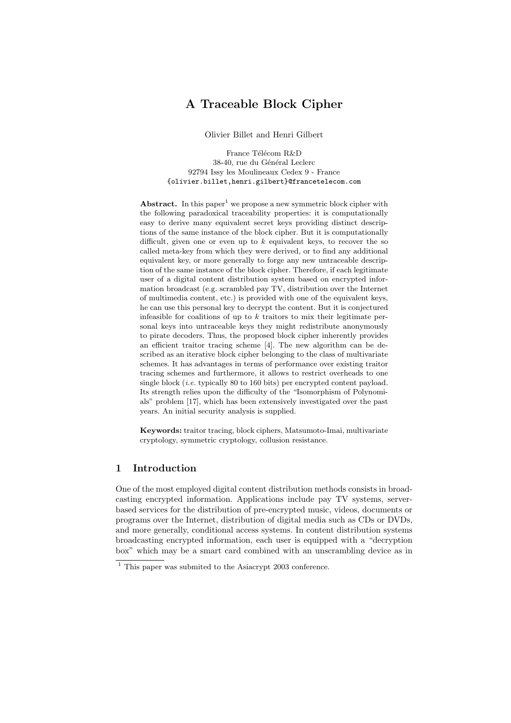# A Traceable Block Cipher

Olivier Billet and Henri Gilbert

France Télécom R&D 38-40, rue du Général Leclerc 92794 Issy les Moulineaux Cedex 9 - France {olivier.billet,henri.gilbert}@francetelecom.com

Abstract. In this paper<sup>1</sup> we propose a new symmetric block cipher with the following paradoxical traceability properties: it is computationally easy to derive many equivalent secret keys providing distinct descriptions of the same instance of the block cipher. But it is computationally difficult, given one or even up to  $k$  equivalent keys, to recover the so called meta-key from which they were derived, or to find any additional equivalent key, or more generally to forge any new untraceable description of the same instance of the block cipher. Therefore, if each legitimate user of a digital content distribution system based on encrypted information broadcast (e.g. scrambled pay TV, distribution over the Internet of multimedia content, etc.) is provided with one of the equivalent keys, he can use this personal key to decrypt the content. But it is conjectured infeasible for coalitions of up to  $k$  traitors to mix their legitimate personal keys into untraceable keys they might redistribute anonymously to pirate decoders. Thus, the proposed block cipher inherently provides an efficient traitor tracing scheme [4]. The new algorithm can be described as an iterative block cipher belonging to the class of multivariate schemes. It has advantages in terms of performance over existing traitor tracing schemes and furthermore, it allows to restrict overheads to one single block (i.e. typically 80 to 160 bits) per encrypted content payload. Its strength relies upon the difficulty of the "Isomorphism of Polynomials" problem [17], which has been extensively investigated over the past years. An initial security analysis is supplied.

Keywords: traitor tracing, block ciphers, Matsumoto-Imai, multivariate cryptology, symmetric cryptology, collusion resistance.

## 1 Introduction

One of the most employed digital content distribution methods consists in broadcasting encrypted information. Applications include pay TV systems, serverbased services for the distribution of pre-encrypted music, videos, documents or programs over the Internet, distribution of digital media such as CDs or DVDs, and more generally, conditional access systems. In content distribution systems broadcasting encrypted information, each user is equipped with a "decryption box" which may be a smart card combined with an unscrambling device as in

 $1$  This paper was submited to the Asiacrypt 2003 conference.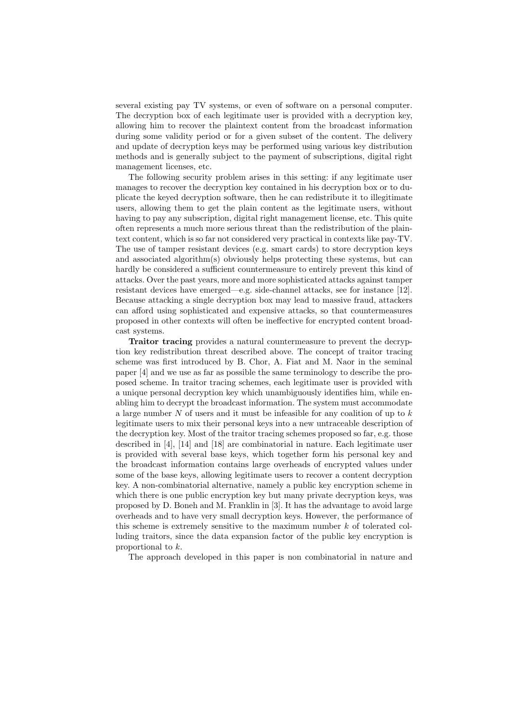several existing pay TV systems, or even of software on a personal computer. The decryption box of each legitimate user is provided with a decryption key, allowing him to recover the plaintext content from the broadcast information during some validity period or for a given subset of the content. The delivery and update of decryption keys may be performed using various key distribution methods and is generally subject to the payment of subscriptions, digital right management licenses, etc.

The following security problem arises in this setting: if any legitimate user manages to recover the decryption key contained in his decryption box or to duplicate the keyed decryption software, then he can redistribute it to illegitimate users, allowing them to get the plain content as the legitimate users, without having to pay any subscription, digital right management license, etc. This quite often represents a much more serious threat than the redistribution of the plaintext content, which is so far not considered very practical in contexts like pay-TV. The use of tamper resistant devices (e.g. smart cards) to store decryption keys and associated algorithm(s) obviously helps protecting these systems, but can hardly be considered a sufficient countermeasure to entirely prevent this kind of attacks. Over the past years, more and more sophisticated attacks against tamper resistant devices have emerged—e.g. side-channel attacks, see for instance [12]. Because attacking a single decryption box may lead to massive fraud, attackers can afford using sophisticated and expensive attacks, so that countermeasures proposed in other contexts will often be ineffective for encrypted content broadcast systems.

Traitor tracing provides a natural countermeasure to prevent the decryption key redistribution threat described above. The concept of traitor tracing scheme was first introduced by B. Chor, A. Fiat and M. Naor in the seminal paper [4] and we use as far as possible the same terminology to describe the proposed scheme. In traitor tracing schemes, each legitimate user is provided with a unique personal decryption key which unambiguously identifies him, while enabling him to decrypt the broadcast information. The system must accommodate a large number  $N$  of users and it must be infeasible for any coalition of up to  $k$ legitimate users to mix their personal keys into a new untraceable description of the decryption key. Most of the traitor tracing schemes proposed so far, e.g. those described in [4], [14] and [18] are combinatorial in nature. Each legitimate user is provided with several base keys, which together form his personal key and the broadcast information contains large overheads of encrypted values under some of the base keys, allowing legitimate users to recover a content decryption key. A non-combinatorial alternative, namely a public key encryption scheme in which there is one public encryption key but many private decryption keys, was proposed by D. Boneh and M. Franklin in [3]. It has the advantage to avoid large overheads and to have very small decryption keys. However, the performance of this scheme is extremely sensitive to the maximum number  $k$  of tolerated colluding traitors, since the data expansion factor of the public key encryption is proportional to k.

The approach developed in this paper is non combinatorial in nature and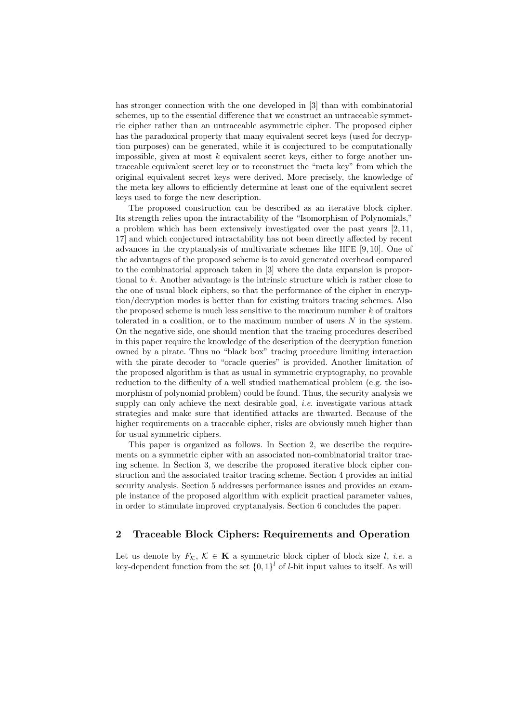has stronger connection with the one developed in [3] than with combinatorial schemes, up to the essential difference that we construct an untraceable symmetric cipher rather than an untraceable asymmetric cipher. The proposed cipher has the paradoxical property that many equivalent secret keys (used for decryption purposes) can be generated, while it is conjectured to be computationally impossible, given at most  $k$  equivalent secret keys, either to forge another untraceable equivalent secret key or to reconstruct the "meta key" from which the original equivalent secret keys were derived. More precisely, the knowledge of the meta key allows to efficiently determine at least one of the equivalent secret keys used to forge the new description.

The proposed construction can be described as an iterative block cipher. Its strength relies upon the intractability of the "Isomorphism of Polynomials," a problem which has been extensively investigated over the past years [2, 11, 17] and which conjectured intractability has not been directly affected by recent advances in the cryptanalysis of multivariate schemes like HFE [9, 10]. One of the advantages of the proposed scheme is to avoid generated overhead compared to the combinatorial approach taken in [3] where the data expansion is proportional to k. Another advantage is the intrinsic structure which is rather close to the one of usual block ciphers, so that the performance of the cipher in encryption/decryption modes is better than for existing traitors tracing schemes. Also the proposed scheme is much less sensitive to the maximum number  $k$  of traitors tolerated in a coalition, or to the maximum number of users  $N$  in the system. On the negative side, one should mention that the tracing procedures described in this paper require the knowledge of the description of the decryption function owned by a pirate. Thus no "black box" tracing procedure limiting interaction with the pirate decoder to "oracle queries" is provided. Another limitation of the proposed algorithm is that as usual in symmetric cryptography, no provable reduction to the difficulty of a well studied mathematical problem (e.g. the isomorphism of polynomial problem) could be found. Thus, the security analysis we supply can only achieve the next desirable goal, *i.e.* investigate various attack strategies and make sure that identified attacks are thwarted. Because of the higher requirements on a traceable cipher, risks are obviously much higher than for usual symmetric ciphers.

This paper is organized as follows. In Section 2, we describe the requirements on a symmetric cipher with an associated non-combinatorial traitor tracing scheme. In Section 3, we describe the proposed iterative block cipher construction and the associated traitor tracing scheme. Section 4 provides an initial security analysis. Section 5 addresses performance issues and provides an example instance of the proposed algorithm with explicit practical parameter values, in order to stimulate improved cryptanalysis. Section 6 concludes the paper.

### 2 Traceable Block Ciphers: Requirements and Operation

Let us denote by  $F_K$ ,  $K \in \mathbf{K}$  a symmetric block cipher of block size l, *i.e.* a key-dependent function from the set  $\{0,1\}^l$  of *l*-bit input values to itself. As will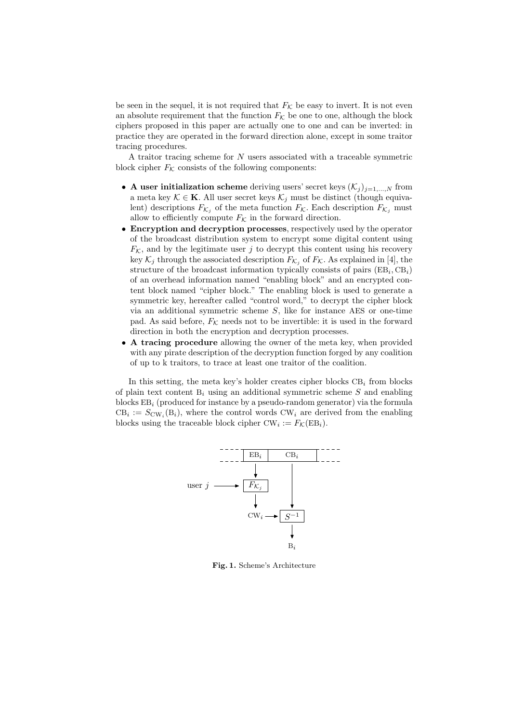be seen in the sequel, it is not required that  $F_{\mathcal{K}}$  be easy to invert. It is not even an absolute requirement that the function  $F<sub>K</sub>$  be one to one, although the block ciphers proposed in this paper are actually one to one and can be inverted: in practice they are operated in the forward direction alone, except in some traitor tracing procedures.

A traitor tracing scheme for N users associated with a traceable symmetric block cipher  $F_K$  consists of the following components:

- A user initialization scheme deriving users' secret keys  $(\mathcal{K}_j)_{j=1,\dots,N}$  from a meta key  $\mathcal{K} \in \mathbf{K}$ . All user secret keys  $\mathcal{K}_j$  must be distinct (though equivalent) descriptions  $F_{\mathcal{K}_j}$  of the meta function  $F_{\mathcal{K}}$ . Each description  $F_{\mathcal{K}_j}$  must allow to efficiently compute  $F<sub>K</sub>$  in the forward direction.
- Encryption and decryption processes, respectively used by the operator of the broadcast distribution system to encrypt some digital content using  $F_K$ , and by the legitimate user j to decrypt this content using his recovery key  $\mathcal{K}_j$  through the associated description  $F_{\mathcal{K}_j}$  of  $F_{\mathcal{K}}$ . As explained in [4], the structure of the broadcast information typically consists of pairs  $(EB<sub>i</sub>, CB<sub>i</sub>)$ of an overhead information named "enabling block" and an encrypted content block named "cipher block." The enabling block is used to generate a symmetric key, hereafter called "control word," to decrypt the cipher block via an additional symmetric scheme  $S$ , like for instance AES or one-time pad. As said before,  $F_{\mathcal{K}}$  needs not to be invertible: it is used in the forward direction in both the encryption and decryption processes.
- A tracing procedure allowing the owner of the meta key, when provided with any pirate description of the decryption function forged by any coalition of up to k traitors, to trace at least one traitor of the coalition.

In this setting, the meta key's holder creates cipher blocks  $CB<sub>i</sub>$  from blocks of plain text content  $B_i$  using an additional symmetric scheme S and enabling blocks  $EB_i$  (produced for instance by a pseudo-random generator) via the formula  $CB_i := S_{CW_i}(B_i)$ , where the control words  $CW_i$  are derived from the enabling blocks using the traceable block cipher  $CW_i := F_{\mathcal{K}}(EB_i)$ .



Fig. 1. Scheme's Architecture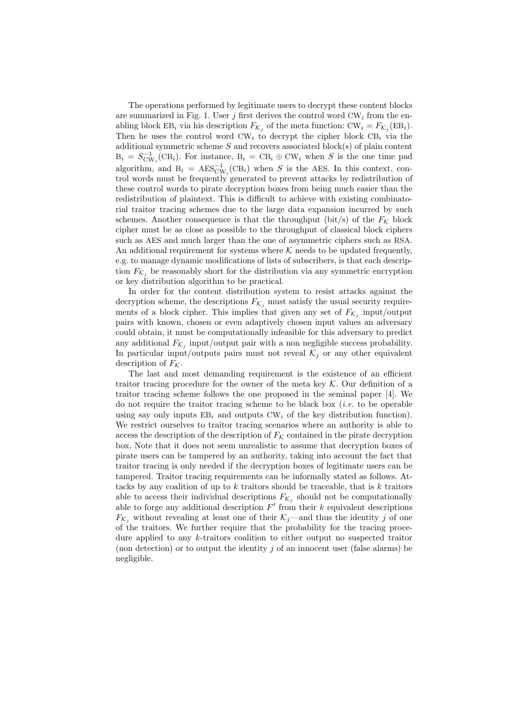The operations performed by legitimate users to decrypt these content blocks are summarized in Fig. 1. User j first derives the control word  $CW_i$  from the enabling block  $EB_i$  via his description  $F_{\mathcal{K}_j}$  of the meta function:  $CW_i = F_{\mathcal{K}_j}(EB_i)$ . Then he uses the control word  $CW_i$  to decrypt the cipher block  $CB_i$  via the additional symmetric scheme  $S$  and recovers associated block(s) of plain content  $B_i = S_{CW_i}^{-1}(CB_i)$ . For instance,  $B_i = CB_i \oplus CW_i$  when S is the one time pad algorithm, and  $B_i = AES^{-1}_{CW_i}(CB_i)$  when S is the AES. In this context, control words must be frequently generated to prevent attacks by redistribution of these control words to pirate decryption boxes from being much easier than the redistribution of plaintext. This is difficult to achieve with existing combinatorial traitor tracing schemes due to the large data expansion incurred by such schemes. Another consequence is that the throughput (bit/s) of the  $F_K$  block cipher must be as close as possible to the throughput of classical block ciphers such as AES and much larger than the one of asymmetric ciphers such as RSA. An additional requirement for systems where  $K$  needs to be updated frequently, e.g. to manage dynamic modifications of lists of subscribers, is that each description  $F_{\mathcal{K}_i}$  be reasonably short for the distribution via any symmetric encryption or key distribution algorithm to be practical.

In order for the content distribution system to resist attacks against the decryption scheme, the descriptions  $F_{\mathcal{K}_i}$  must satisfy the usual security requirements of a block cipher. This implies that given any set of  $F_{\mathcal{K}_j}$  input/output pairs with known, chosen or even adaptively chosen input values an adversary could obtain, it must be computationally infeasible for this adversary to predict any additional  $F_{\mathcal{K}_j}$  input/output pair with a non negligible success probability. In particular input/outputs pairs must not reveal  $\mathcal{K}_j$  or any other equivalent description of  $F_K$ .

The last and most demanding requirement is the existence of an efficient traitor tracing procedure for the owner of the meta key  $K$ . Our definition of a traitor tracing scheme follows the one proposed in the seminal paper [4]. We do not require the traitor tracing scheme to be black box (*i.e.* to be operable using say only inputs  $EB_i$  and outputs  $CW_i$  of the key distribution function). We restrict ourselves to traitor tracing scenarios where an authority is able to access the description of the description of  $F_{\mathcal{K}}$  contained in the pirate decryption box. Note that it does not seem unrealistic to assume that decryption boxes of pirate users can be tampered by an authority, taking into account the fact that traitor tracing is only needed if the decryption boxes of legitimate users can be tampered. Traitor tracing requirements can be informally stated as follows. Attacks by any coalition of up to k traitors should be traceable, that is k traitors able to access their individual descriptions  $F_{\mathcal{K}_j}$  should not be computationally able to forge any additional description  $F'$  from their k equivalent descriptions  $F_{\mathcal{K}_i}$  without revealing at least one of their  $\mathcal{K}_j$ —and thus the identity j of one of the traitors. We further require that the probability for the tracing procedure applied to any k-traitors coalition to either output no suspected traitor (non detection) or to output the identity  $j$  of an innocent user (false alarms) be negligible.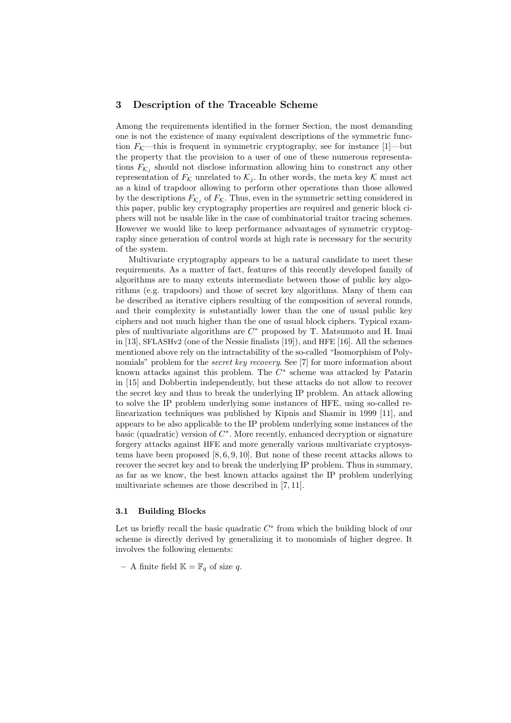### 3 Description of the Traceable Scheme

Among the requirements identified in the former Section, the most demanding one is not the existence of many equivalent descriptions of the symmetric function  $F_K$ —this is frequent in symmetric cryptography, see for instance [1]—but the property that the provision to a user of one of these numerous representations  $F_{\mathcal{K}_j}$  should not disclose information allowing him to construct any other representation of  $F_K$  unrelated to  $\mathcal{K}_j$ . In other words, the meta key  $\mathcal K$  must act as a kind of trapdoor allowing to perform other operations than those allowed by the descriptions  $F_{\mathcal{K}_j}$  of  $F_{\mathcal{K}}$ . Thus, even in the symmetric setting considered in this paper, public key cryptography properties are required and generic block ciphers will not be usable like in the case of combinatorial traitor tracing schemes. However we would like to keep performance advantages of symmetric cryptography since generation of control words at high rate is necessary for the security of the system.

Multivariate cryptography appears to be a natural candidate to meet these requirements. As a matter of fact, features of this recently developed family of algorithms are to many extents intermediate between those of public key algorithms (e.g. trapdoors) and those of secret key algorithms. Many of them can be described as iterative ciphers resulting of the composition of several rounds, and their complexity is substantially lower than the one of usual public key ciphers and not much higher than the one of usual block ciphers. Typical examples of multivariate algorithms are  $C^*$  proposed by T. Matsumoto and H. Imai in [13], SFLASHv2 (one of the Nessie finalists [19]), and HFE [16]. All the schemes mentioned above rely on the intractability of the so-called "Isomorphism of Polynomials" problem for the *secret key recovery*. See [7] for more information about known attacks against this problem. The  $C^*$  scheme was attacked by Patarin in [15] and Dobbertin independently, but these attacks do not allow to recover the secret key and thus to break the underlying IP problem. An attack allowing to solve the IP problem underlying some instances of HFE, using so-called relinearization techniques was published by Kipnis and Shamir in 1999 [11], and appears to be also applicable to the IP problem underlying some instances of the basic (quadratic) version of  $C^*$ . More recently, enhanced decryption or signature forgery attacks against HFE and more generally various multivariate cryptosystems have been proposed [8, 6, 9, 10]. But none of these recent attacks allows to recover the secret key and to break the underlying IP problem. Thus in summary, as far as we know, the best known attacks against the IP problem underlying multivariate schemes are those described in [7, 11].

### 3.1 Building Blocks

Let us briefly recall the basic quadratic  $C^*$  from which the building block of our scheme is directly derived by generalizing it to monomials of higher degree. It involves the following elements:

– A finite field  $\mathbb{K} = \mathbb{F}_q$  of size q.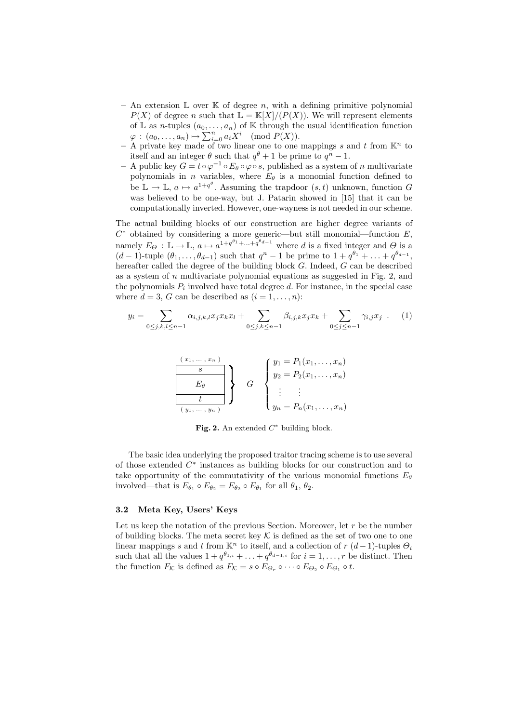- An extension  $\mathbb L$  over  $\mathbb K$  of degree n, with a defining primitive polynomial  $P(X)$  of degree n such that  $\mathbb{L} = \mathbb{K}[X]/(P(X))$ . We will represent elements of L as *n*-tuples  $(a_0, \ldots, a_n)$  of K through the usual identification function or  $\mathbb{L}$  as *n*-tuples  $(a_0, \ldots, a_n)$  or  $\mathbb{R}$  through the  $\varphi : (a_0, \ldots, a_n) \mapsto \sum_{i=0}^n a_i X^i \pmod{P(X)}$ .
- A private key made of two linear one to one mappings s and t from  $\mathbb{K}^n$  to itself and an integer  $\theta$  such that  $q^{\theta} + 1$  be prime to  $q^{n} - 1$ .
- $-$  A public key  $G = t \circ \varphi^{-1} \circ E_{\theta} \circ \varphi \circ s$ , published as a system of n multivariate polynomials in *n* variables, where  $E_{\theta}$  is a monomial function defined to be  $\mathbb{L} \to \mathbb{L}, a \mapsto a^{1+q^{\theta}}$ . Assuming the trapdoor  $(s, t)$  unknown, function G was believed to be one-way, but J. Patarin showed in [15] that it can be computationally inverted. However, one-wayness is not needed in our scheme.

The actual building blocks of our construction are higher degree variants of  $C^*$  obtained by considering a more generic—but still monomial—function  $E$ , namely  $E_{\Theta} : \mathbb{L} \to \mathbb{L}, a \mapsto a^{1+q^{\theta_1}+\ldots+q^{\theta_{d-1}}}$  where d is a fixed integer and  $\Theta$  is a  $(d-1)$ -tuple  $(\theta_1,\ldots,\theta_{d-1})$  such that  $q^n-1$  be prime to  $1+q^{\theta_1}+\ldots+q^{\theta_{d-1}},$ hereafter called the degree of the building block G. Indeed, G can be described as a system of n multivariate polynomial equations as suggested in Fig. 2, and the polynomials  $P_i$  involved have total degree  $d$ . For instance, in the special case where  $d = 3$ , G can be described as  $(i = 1, \ldots, n)$ :

$$
y_i = \sum_{0 \le j,k,l \le n-1} \alpha_{i,j,k,l} x_j x_k x_l + \sum_{0 \le j,k \le n-1} \beta_{i,j,k} x_j x_k + \sum_{0 \le j \le n-1} \gamma_{i,j} x_j . \tag{1}
$$

$$
\begin{array}{c}\n\begin{array}{c}\n(x_1, \ldots, x_n) \\
\hline\nB \\
E_\theta\n\end{array} \\
\hline\n\begin{array}{c}\n\hline\nB \\
\hline\n\end{array}\n\end{array}\n\right\}\n\quad\nG\n\begin{array}{c}\ny_1 = P_1(x_1, \ldots, x_n) \\
y_2 = P_2(x_1, \ldots, x_n) \\
\hline\n\vdots \hline\n\end{array}\n\right\}
$$
\n
$$
\begin{array}{c}\n\hline\n\end{array}\n\left\{\n\begin{array}{c}\ny_1 = P_1(x_1, \ldots, x_n) \\
\hline\n\vdots \hline\n\end{array}\n\right\}
$$
\n
$$
\begin{array}{c}\n\hline\n\end{array}\n\left\{\n\begin{array}{c}\ny_1 = P_1(x_1, \ldots, x_n) \\
\hline\n\vdots \hline\n\end{array}\n\right\}
$$

Fig. 2. An extended  $C^*$  building block.

The basic idea underlying the proposed traitor tracing scheme is to use several of those extended  $C^*$  instances as building blocks for our construction and to take opportunity of the commutativity of the various monomial functions  $E_{\theta}$ involved—that is  $E_{\theta_1} \circ E_{\theta_2} = E_{\theta_2} \circ E_{\theta_1}$  for all  $\theta_1, \theta_2$ .

#### 3.2 Meta Key, Users' Keys

Let us keep the notation of the previous Section. Moreover, let  $r$  be the number of building blocks. The meta secret key  $K$  is defined as the set of two one to one linear mappings s and t from  $\mathbb{K}^n$  to itself, and a collection of  $r(d-1)$ -tuples  $\Theta_i$ such that all the values  $1 + q^{\theta_{1,i}} + \ldots + q^{\theta_{d-1,i}}$  for  $i = 1, \ldots, r$  be distinct. Then the function  $F_{\mathcal{K}}$  is defined as  $F_{\mathcal{K}} = s \circ E_{\Theta_r} \circ \cdots \circ E_{\Theta_2} \circ E_{\Theta_1} \circ t$ .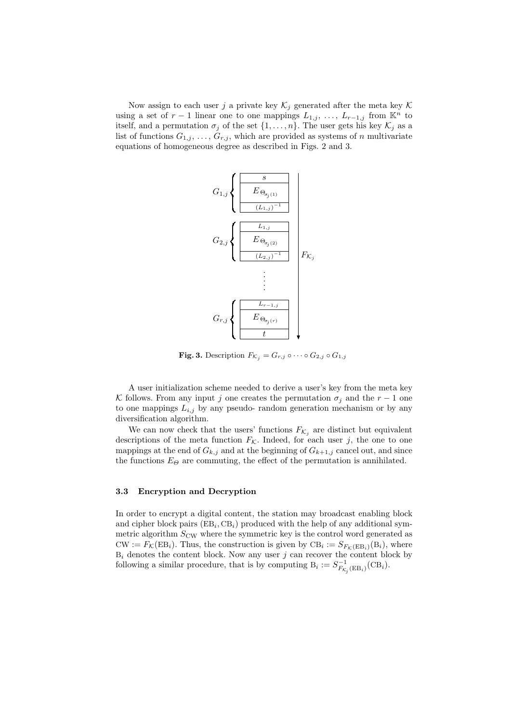Now assign to each user j a private key  $\mathcal{K}_j$  generated after the meta key  $\mathcal K$ using a set of  $r - 1$  linear one to one mappings  $L_{1,j}, \ldots, L_{r-1,j}$  from  $\mathbb{K}^n$  to itself, and a permutation  $\sigma_j$  of the set  $\{1, \ldots, n\}$ . The user gets his key  $\mathcal{K}_j$  as a list of functions  $G_{1,j}, \ldots, G_{r,j}$ , which are provided as systems of n multivariate equations of homogeneous degree as described in Figs. 2 and 3.

$$
G_{1,j} \left\{ \begin{array}{|c|} \hline s \\ \hline E_{\Theta_{\sigma_j(1)}} \\ \hline (L_{1,j})^{-1} \\ \hline (L_{2,j})^{-1} \\ \hline \end{array} \right\}
$$
  

$$
G_{2,j} \left\{ \begin{array}{|c|} \hline L_{1,j} \\ \hline E_{\Theta_{\sigma_j(2)}} \\ \hline (L_{2,j})^{-1} \\ \hline \vdots \\ \hline (L_{r-1,j}) \\ \hline E_{\Theta_{\sigma_j(r)}} \\ \hline \end{array} \right\}
$$
  

$$
G_{r,j} \left\{ \begin{array}{|c|} \hline L_{r-1,j} \\ \hline E_{\Theta_{\sigma_j(r)}} \\ \hline \end{array} \right\}
$$

**Fig. 3.** Description  $F_{\mathcal{K}_j} = G_{r,j} \circ \cdots \circ G_{2,j} \circ G_{1,j}$ 

A user initialization scheme needed to derive a user's key from the meta key K follows. From any input j one creates the permutation  $\sigma_j$  and the  $r-1$  one to one mappings  $L_{i,j}$  by any pseudo- random generation mechanism or by any diversification algorithm.

We can now check that the users' functions  $F_{\mathcal{K}_i}$  are distinct but equivalent descriptions of the meta function  $F_{\mathcal{K}}$ . Indeed, for each user j, the one to one mappings at the end of  $G_{k,j}$  and at the beginning of  $G_{k+1,j}$  cancel out, and since the functions  $E_{\Theta}$  are commuting, the effect of the permutation is annihilated.

#### 3.3 Encryption and Decryption

In order to encrypt a digital content, the station may broadcast enabling block and cipher block pairs  $(EB_i, CB_i)$  produced with the help of any additional symmetric algorithm  $S_{\text{CW}}$  where the symmetric key is the control word generated as  $CW := F_{\mathcal{K}}(EB_i)$ . Thus, the construction is given by  $CB_i := S_{F_{\mathcal{K}}(EB_i)}(B_i)$ , where  $B_i$  denotes the content block. Now any user j can recover the content block by following a similar procedure, that is by computing  $B_i := S_{F_{\mathcal{K}_j}(\text{EB}_i)}^{-1}(\text{CB}_i)$ .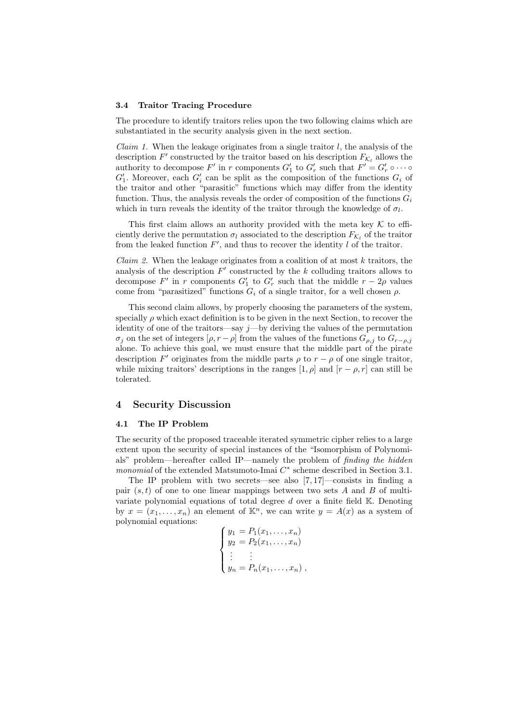#### 3.4 Traitor Tracing Procedure

The procedure to identify traitors relies upon the two following claims which are substantiated in the security analysis given in the next section.

*Claim 1.* When the leakage originates from a single traitor l, the analysis of the description  $F'$  constructed by the traitor based on his description  $F_{\mathcal{K}_l}$  allows the authority to decompose  $F'$  in r components  $G'_{1}$  to  $G'_{r}$  such that  $F' = G'_{r} \circ \cdots \circ$  $G'_{1}$ . Moreover, each  $G'_{i}$  can be split as the composition of the functions  $G_{i}$  of the traitor and other "parasitic" functions which may differ from the identity function. Thus, the analysis reveals the order of composition of the functions  $G_i$ which in turn reveals the identity of the traitor through the knowledge of  $\sigma_l$ .

This first claim allows an authority provided with the meta key  $K$  to efficiently derive the permutation  $\sigma_l$  associated to the description  $F_{\mathcal{K}_l}$  of the traitor from the leaked function  $F'$ , and thus to recover the identity  $l$  of the traitor.

*Claim 2.* When the leakage originates from a coalition of at most  $k$  traitors, the analysis of the description  $F'$  constructed by the  $k$  colluding traitors allows to decompose  $F'$  in r components  $G'_{1}$  to  $G'_{r}$  such that the middle  $r - 2\rho$  values come from "parasitized" functions  $G_i$  of a single traitor, for a well chosen  $\rho$ .

This second claim allows, by properly choosing the parameters of the system, specially  $\rho$  which exact definition is to be given in the next Section, to recover the identity of one of the traitors—say  $j$ —by deriving the values of the permutation  $\sigma_j$  on the set of integers  $[\rho, r - \rho]$  from the values of the functions  $G_{\rho,j}$  to  $G_{r-\rho,j}$ alone. To achieve this goal, we must ensure that the middle part of the pirate description F' originates from the middle parts  $\rho$  to  $r - \rho$  of one single traitor, while mixing traitors' descriptions in the ranges  $[1, \rho]$  and  $[r - \rho, r]$  can still be tolerated.

### 4 Security Discussion

#### 4.1 The IP Problem

The security of the proposed traceable iterated symmetric cipher relies to a large extent upon the security of special instances of the "Isomorphism of Polynomials" problem—hereafter called IP—namely the problem of finding the hidden monomial of the extended Matsumoto-Imai  $C^*$  scheme described in Section 3.1.

The IP problem with two secrets—see also  $[7,17]$ —consists in finding a pair  $(s, t)$  of one to one linear mappings between two sets A and B of multivariate polynomial equations of total degree  $d$  over a finite field  $K$ . Denoting by  $x = (x_1, \ldots, x_n)$  an element of  $\mathbb{K}^n$ , we can write  $y = A(x)$  as a system of polynomial equations:  $\overline{a}$ 

$$
\begin{cases}\ny_1 = P_1(x_1, ..., x_n) \\
y_2 = P_2(x_1, ..., x_n) \\
\vdots & \vdots \\
y_n = P_n(x_1, ..., x_n)\n\end{cases}
$$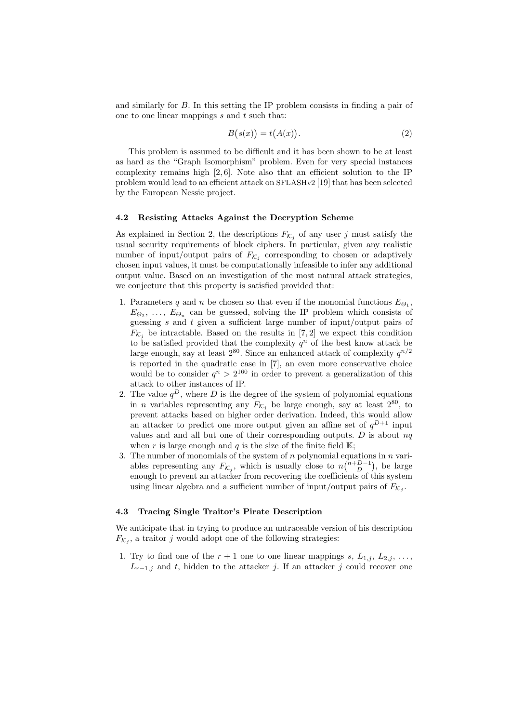and similarly for B. In this setting the IP problem consists in finding a pair of one to one linear mappings  $s$  and  $t$  such that:

$$
B(s(x)) = t(A(x)).
$$
\n(2)

This problem is assumed to be difficult and it has been shown to be at least as hard as the "Graph Isomorphism" problem. Even for very special instances complexity remains high  $[2, 6]$ . Note also that an efficient solution to the IP problem would lead to an efficient attack on SFLASHv2 [19] that has been selected by the European Nessie project.

#### 4.2 Resisting Attacks Against the Decryption Scheme

As explained in Section 2, the descriptions  $F_{\mathcal{K}_i}$  of any user j must satisfy the usual security requirements of block ciphers. In particular, given any realistic number of input/output pairs of  $F_{\mathcal{K}_j}$  corresponding to chosen or adaptively chosen input values, it must be computationally infeasible to infer any additional output value. Based on an investigation of the most natural attack strategies, we conjecture that this property is satisfied provided that:

- 1. Parameters q and n be chosen so that even if the monomial functions  $E_{\Theta_1}$ ,  $E_{\Theta_2}, \ldots, E_{\Theta_n}$  can be guessed, solving the IP problem which consists of guessing  $s$  and  $t$  given a sufficient large number of input/output pairs of  $F_{\mathcal{K}_i}$  be intractable. Based on the results in [7, 2] we expect this condition to be satisfied provided that the complexity  $q^n$  of the best know attack be large enough, say at least  $2^{80}$ . Since an enhanced attack of complexity  $q^{n/2}$ is reported in the quadratic case in [7], an even more conservative choice would be to consider  $q^n > 2^{160}$  in order to prevent a generalization of this attack to other instances of IP.
- 2. The value  $q^D$ , where D is the degree of the system of polynomial equations in *n* variables representing any  $F_{\mathcal{K}_j}$  be large enough, say at least  $2^{80}$ , to prevent attacks based on higher order derivation. Indeed, this would allow an attacker to predict one more output given an affine set of  $q^{D+1}$  input values and and all but one of their corresponding outputs.  $D$  is about  $nq$ when r is large enough and q is the size of the finite field  $\mathbb{K}$ ;
- 3. The number of monomials of the system of n polynomial equations in n vari-The number of monomials of the system of *n* polynomial equations in *n* variables representing any  $F_{\mathcal{K}_j}$ , which is usually close to  $n\binom{n+D-1}{D}$ , be large enough to prevent an attacker from recovering the coefficients of this system using linear algebra and a sufficient number of input/output pairs of  $F_{\mathcal{K}_j}$ .

### 4.3 Tracing Single Traitor's Pirate Description

We anticipate that in trying to produce an untraceable version of his description  $F_{\mathcal{K}_j}$ , a traitor j would adopt one of the following strategies:

1. Try to find one of the  $r + 1$  one to one linear mappings s,  $L_{1,j}$ ,  $L_{2,j}$ , ...,  $L_{r-1,j}$  and t, hidden to the attacker j. If an attacker j could recover one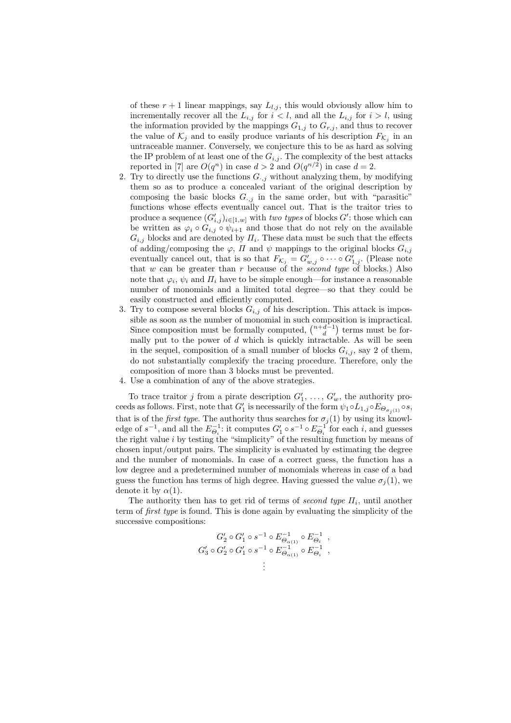of these  $r + 1$  linear mappings, say  $L_{l,j}$ , this would obviously allow him to incrementally recover all the  $L_{i,j}$  for  $i < l$ , and all the  $L_{i,j}$  for  $i > l$ , using the information provided by the mappings  $G_{1,j}$  to  $G_{r,j}$ , and thus to recover the value of  $\mathcal{K}_j$  and to easily produce variants of his description  $F_{\mathcal{K}_j}$  in an untraceable manner. Conversely, we conjecture this to be as hard as solving the IP problem of at least one of the  $G_{i,j}$ . The complexity of the best attacks reported in [7] are  $O(q^n)$  in case  $d > 2$  and  $O(q^{n/2})$  in case  $d = 2$ .

- 2. Try to directly use the functions  $G_{\cdot,j}$  without analyzing them, by modifying them so as to produce a concealed variant of the original description by composing the basic blocks  $G_{\cdot,j}$  in the same order, but with "parasitic" functions whose effects eventually cancel out. That is the traitor tries to produce a sequence  $(G'_{i,j})_{i\in[1,w]}$  with *two types* of blocks  $G'$ : those which can be written as  $\varphi_i \circ G_{i,j} \circ \psi_{i+1}$  and those that do not rely on the available  $G_{i,j}$  blocks and are denoted by  $\Pi_i$ . These data must be such that the effects of adding/composing the  $\varphi$ ,  $\Pi$  and  $\psi$  mappings to the original blocks  $G_{i,j}$ eventually cancel out, that is so that  $F_{\mathcal{K}_j} = G'_{w,j} \circ \cdots \circ G'_{1,j}$ . (Please note that  $w$  can be greater than  $r$  because of the *second type* of blocks.) Also note that  $\varphi_i$ ,  $\psi_i$  and  $\Pi_i$  have to be simple enough—for instance a reasonable number of monomials and a limited total degree—so that they could be easily constructed and efficiently computed.
- 3. Try to compose several blocks  $G_{i,j}$  of his description. This attack is impossible as soon as the number of monomial in such composition is impractical. sible as soon as the number of monomial in such composition composition must be formally computed,  $\binom{n+d-1}{d}$ )⊱<br>∖ terms must be formally put to the power of  $d$  which is quickly intractable. As will be seen in the sequel, composition of a small number of blocks  $G_{i,j}$ , say 2 of them, do not substantially complexify the tracing procedure. Therefore, only the composition of more than 3 blocks must be prevented.
- 4. Use a combination of any of the above strategies.

To trace traitor j from a pirate description  $G'_1, \ldots, G'_w$ , the authority proceeds as follows. First, note that  $G_1'$  is necessarily of the form  $\psi_1 \circ L_{1,j} \circ E_{\Theta_{\sigma_j(1)}} \circ s$ , that is of the *first type*. The authority thus searches for  $\sigma_j(1)$  by using its knowledge of  $s^{-1}$ , and all the  $E_{\Theta_i}^{-1}$ : it computes  $G'_1 \circ s^{-1} \circ E_{\Theta_i}^{-1}$  for each i, and guesses the right value  $i$  by testing the "simplicity" of the resulting function by means of chosen input/output pairs. The simplicity is evaluated by estimating the degree and the number of monomials. In case of a correct guess, the function has a low degree and a predetermined number of monomials whereas in case of a bad guess the function has terms of high degree. Having guessed the value  $\sigma_i(1)$ , we denote it by  $\alpha(1)$ .

The authority then has to get rid of terms of second type  $\Pi_i$ , until another term of first type is found. This is done again by evaluating the simplicity of the successive compositions:

$$
G'_2 \circ G'_1 \circ s^{-1} \circ E_{\Theta_{\alpha(1)}}^{-1} \circ E_{\Theta_i}^{-1} ,
$$
  

$$
G'_3 \circ G'_2 \circ G'_1 \circ s^{-1} \circ E_{\Theta_{\alpha(1)}}^{-1} \circ E_{\Theta_i}^{-1} ,
$$
  
...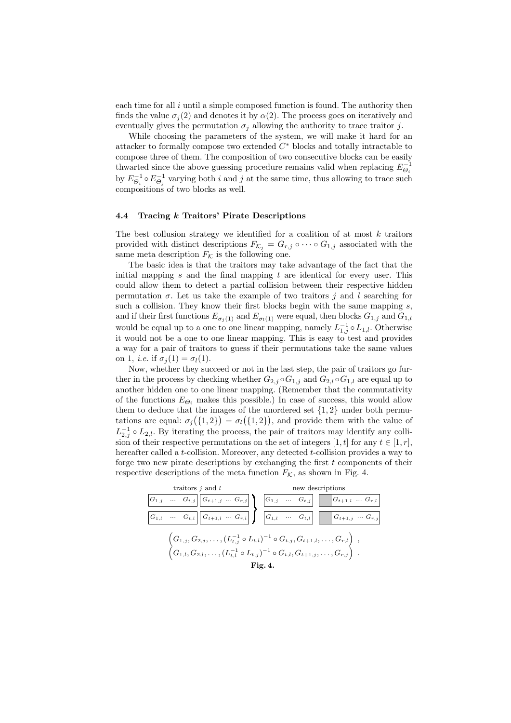each time for all  $i$  until a simple composed function is found. The authority then finds the value  $\sigma_j(2)$  and denotes it by  $\alpha(2)$ . The process goes on iteratively and eventually gives the permutation  $\sigma_j$  allowing the authority to trace traitor j.

While choosing the parameters of the system, we will make it hard for an attacker to formally compose two extended  $C^*$  blocks and totally intractable to compose three of them. The composition of two consecutive blocks can be easily thwarted since the above guessing procedure remains valid when replacing  $E_{\Theta_i}^{-1}$ by  $E_{\Theta_i}^{-1} \circ E_{\Theta_j}^{-1}$  varying both i and j at the same time, thus allowing to trace such compositions of two blocks as well.

#### 4.4 Tracing k Traitors' Pirate Descriptions

The best collusion strategy we identified for a coalition of at most  $k$  traitors provided with distinct descriptions  $F_{\mathcal{K}_j} = G_{r,j} \circ \cdots \circ G_{1,j}$  associated with the same meta description  $F_{\mathcal{K}}$  is the following one.

The basic idea is that the traitors may take advantage of the fact that the initial mapping  $s$  and the final mapping  $t$  are identical for every user. This could allow them to detect a partial collision between their respective hidden permutation  $\sigma$ . Let us take the example of two traitors j and l searching for such a collision. They know their first blocks begin with the same mapping  $s$ , and if their first functions  $E_{\sigma_i(1)}$  and  $E_{\sigma_i(1)}$  were equal, then blocks  $G_{1,j}$  and  $G_{1,l}$ would be equal up to a one to one linear mapping, namely  $L_{1,j}^{-1} \circ L_{1,l}$ . Otherwise it would not be a one to one linear mapping. This is easy to test and provides a way for a pair of traitors to guess if their permutations take the same values on 1, *i.e.* if  $\sigma_i(1) = \sigma_i(1)$ .

Now, whether they succeed or not in the last step, the pair of traitors go further in the process by checking whether  $G_{2,j} \circ G_{1,j}$  and  $G_{2,l} \circ G_{1,l}$  are equal up to another hidden one to one linear mapping. (Remember that the commutativity of the functions  $E_{\Theta_i}$  makes this possible.) In case of success, this would allow them to deduce that the images of the unordered set  $\{1, 2\}$  under both permutations are equal:  $\sigma_j(\{1,2\}) = \sigma_l(\{1,2\})$ , and provide them with the value of  $L_{2,j}^{-1} \circ L_{2,l}$ . By iterating the process, the pair of traitors may identify any collision of their respective permutations on the set of integers  $[1, t]$  for any  $t \in [1, r]$ , hereafter called a t-collision. Moreover, any detected t-collision provides a way to forge two new pirate descriptions by exchanging the first t components of their respective descriptions of the meta function  $F_{\mathcal{K}}$ , as shown in Fig. 4.

| traitors $j$ and $l$                                                                                                                                                                                                                            | new descriptions                                                                                                                                                                                                                                                                                                                                                                                                                               |  |
|-------------------------------------------------------------------------------------------------------------------------------------------------------------------------------------------------------------------------------------------------|------------------------------------------------------------------------------------------------------------------------------------------------------------------------------------------------------------------------------------------------------------------------------------------------------------------------------------------------------------------------------------------------------------------------------------------------|--|
| $\begin{bmatrix} G_{1,j} & \cdots & G_{t,j} \end{bmatrix} \begin{bmatrix} G_{t+1,j} & \cdots & G_{r,j} \end{bmatrix}$                                                                                                                           |                                                                                                                                                                                                                                                                                                                                                                                                                                                |  |
|                                                                                                                                                                                                                                                 | $\boxed{G_{1,l} \quad \cdots \quad G_{t,l}} \left  \begin{array}{ccc} G_{t+1,l} \; \cdots \; G_{r,l} \end{array} \right  \; \; \boxed{G_{1,l} \quad \cdots \quad G_{t,l}} \; \; \left[ \begin{array}{ccc} \; & \; \\ \; & \; \\ \; & \; \\ \; & \; \\ \; & \; \\ \; & \; \\ \; & \; \\ \; & \; \\ \; & \; \\ \; & \; \\ \; & \; \\ \; & \; \\ \; & \; \\ \; & \; \\ \; & \; \\ \; & \; \\ \; & \; \\ \; & \; \\ \; & \; \\ \; & \; \\ \; & \;$ |  |
| $\begin{pmatrix} G_{1,j}, G_{2,j}, \ldots, (L_{t,j}^{-1} \circ L_{t,l})^{-1} \circ G_{t,j}, G_{t+1,l}, \ldots, G_{r,l} \ G_{1,l}, G_{2,l}, \ldots, (L_{t,l}^{-1} \circ L_{t,j})^{-1} \circ G_{t,l}, G_{t+1,j}, \ldots, G_{r,j} \end{pmatrix}$ , |                                                                                                                                                                                                                                                                                                                                                                                                                                                |  |
| Fig. $4.$                                                                                                                                                                                                                                       |                                                                                                                                                                                                                                                                                                                                                                                                                                                |  |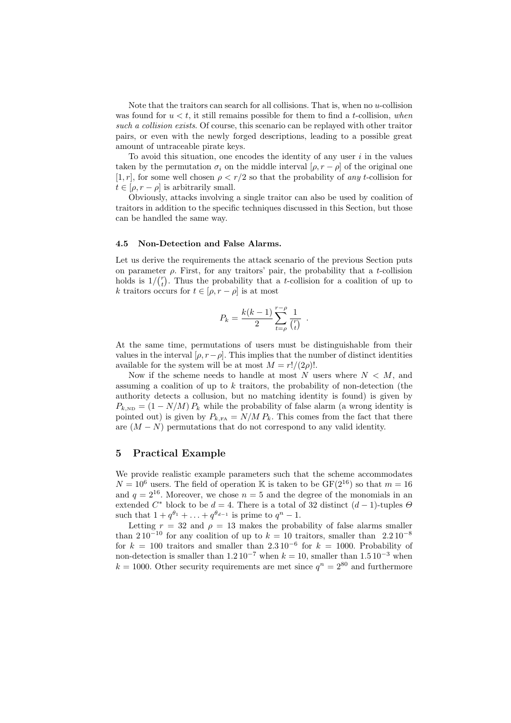Note that the traitors can search for all collisions. That is, when no  $u$ -collision was found for  $u < t$ , it still remains possible for them to find a t-collision, when such a collision exists. Of course, this scenario can be replayed with other traitor pairs, or even with the newly forged descriptions, leading to a possible great amount of untraceable pirate keys.

To avoid this situation, one encodes the identity of any user  $i$  in the values taken by the permutation  $\sigma_i$  on the middle interval  $[\rho, r - \rho]$  of the original one [1, r], for some well chosen  $\rho < r/2$  so that the probability of any t-collision for  $t \in [\rho, r - \rho]$  is arbitrarily small.

Obviously, attacks involving a single traitor can also be used by coalition of traitors in addition to the specific techniques discussed in this Section, but those can be handled the same way.

#### 4.5 Non-Detection and False Alarms.

Let us derive the requirements the attack scenario of the previous Section puts on parameter  $\rho$ . First, for any traitors' pair, the probability that a t-collision holds is  $1/{r \choose t}$ . Thus the probability that a *t*-collision for a coalition of up to k traitors occurs for  $t \in [\rho, r - \rho]$  is at most

$$
P_k = \frac{k(k-1)}{2} \sum_{t=\rho}^{r-\rho} \frac{1}{\binom{r}{t}}.
$$

At the same time, permutations of users must be distinguishable from their values in the interval  $[\rho, r-\rho]$ . This implies that the number of distinct identities available for the system will be at most  $M = r!/(2\rho)!$ .

Now if the scheme needs to handle at most N users where  $N < M$ , and assuming a coalition of up to  $k$  traitors, the probability of non-detection (the authority detects a collusion, but no matching identity is found) is given by  $P_{k,\text{ND}} = (1 - N/M) P_k$  while the probability of false alarm (a wrong identity is pointed out) is given by  $P_{k,FA} = N/M P_k$ . This comes from the fact that there are  $(M - N)$  permutations that do not correspond to any valid identity.

### 5 Practical Example

We provide realistic example parameters such that the scheme accommodates  $N = 10^6$  users. The field of operation K is taken to be  $GF(2^{16})$  so that  $m = 16$ and  $q = 2^{16}$ . Moreover, we chose  $n = 5$  and the degree of the monomials in an extended  $C^*$  block to be  $d = 4$ . There is a total of 32 distinct  $(d-1)$ -tuples  $\Theta$ such that  $1 + q^{\theta_1} + \ldots + q^{\theta_{d-1}}$  is prime to  $q^n - 1$ .

Letting  $r = 32$  and  $\rho = 13$  makes the probability of false alarms smaller than 2 10<sup>-10</sup> for any coalition of up to  $k = 10$  traitors, smaller than 2.2 10<sup>-8</sup> for  $k = 100$  traitors and smaller than  $2.3 \times 10^{-6}$  for  $k = 1000$ . Probability of non-detection is smaller than  $1.2 \times 10^{-7}$  when  $k = 10$ , smaller than  $1.5 \times 10^{-3}$  when  $k = 1000$ . Other security requirements are met since  $q^n = 2^{80}$  and furthermore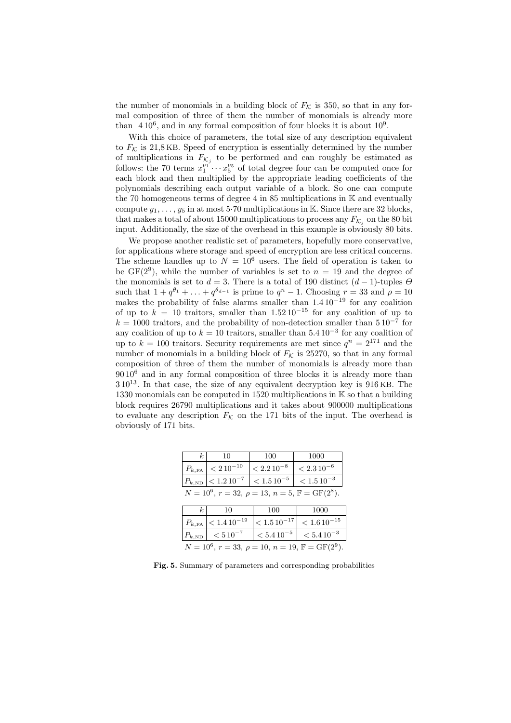the number of monomials in a building block of  $F<sub>K</sub>$  is 350, so that in any formal composition of three of them the number of monomials is already more than  $410^6$ , and in any formal composition of four blocks it is about  $10^9$ .

With this choice of parameters, the total size of any description equivalent to  $F_K$  is 21,8 KB. Speed of encryption is essentially determined by the number of multiplications in  $F_{\mathcal{K}_j}$  to be performed and can roughly be estimated as follows: the 70 terms  $x_1^{\nu_1} \cdots x_5^{\nu_5}$  of total degree four can be computed once for each block and then multiplied by the appropriate leading coefficients of the polynomials describing each output variable of a block. So one can compute the 70 homogeneous terms of degree 4 in 85 multiplications in  $K$  and eventually compute  $y_1, \ldots, y_5$  in at most 5.70 multiplications in K. Since there are 32 blocks, that makes a total of about 15000 multiplications to process any  $F_{\mathcal{K}_i}$  on the 80 bit input. Additionally, the size of the overhead in this example is obviously 80 bits.

We propose another realistic set of parameters, hopefully more conservative, for applications where storage and speed of encryption are less critical concerns. The scheme handles up to  $N = 10^6$  users. The field of operation is taken to be  $GF(2^9)$ , while the number of variables is set to  $n = 19$  and the degree of the monomials is set to  $d = 3$ . There is a total of 190 distinct  $(d-1)$ -tuples  $\Theta$ such that  $1 + q^{\theta_1} + \ldots + q^{\theta_{d-1}}$  is prime to  $q^n - 1$ . Choosing  $r = 33$  and  $\rho = 10$ makes the probability of false alarms smaller than  $1.4\,10^{-19}$  for any coalition of up to  $k = 10$  traitors, smaller than  $1.5210^{-15}$  for any coalition of up to  $k = 1000$  traitors, and the probability of non-detection smaller than  $510^{-7}$  for any coalition of up to  $k = 10$  traitors, smaller than 5.4 10<sup>-3</sup> for any coalition of up to  $k = 100$  traitors. Security requirements are met since  $q^n = 2^{171}$  and the number of monomials in a building block of  $F_K$  is 25270, so that in any formal composition of three of them the number of monomials is already more than  $9010<sup>6</sup>$  and in any formal composition of three blocks it is already more than 3 10<sup>13</sup>. In that case, the size of any equivalent decryption key is 916 KB. The 1330 monomials can be computed in 1520 multiplications in  $K$  so that a building block requires 26790 multiplications and it takes about 900000 multiplications to evaluate any description  $F_K$  on the 171 bits of the input. The overhead is obviously of 171 bits.

| $\boldsymbol{k}$                                                | 10               | 100              | 1000             |
|-----------------------------------------------------------------|------------------|------------------|------------------|
| $P_{k,FA}$                                                      | $< 210^{-10}$    | $< 2.210^{-8}$   | $< 2.3\,10^{-6}$ |
| $P_{k,\mathrm{ND}}$                                             | $<1.2\,10^{-7}$  | $<1.5\,10^{-5}$  | $<1.5\,10^{-3}$  |
| $N = 10^6$ , $r = 32$ , $\rho = 13$ , $n = 5$ , $F = GF(2^8)$ . |                  |                  |                  |
| k.                                                              | 10               | 100              | 1000             |
| $P_{k,FA}$                                                      | $<1.4\,10^{-19}$ | $< 1.5 10^{-17}$ | $< 1.6 10^{-15}$ |
| $P_{k,\text{ND}}$                                               | $< 510^{-7}$     | $< 5.410^{-5}$   | $< 5.4\,10^{-3}$ |

 $N = 10^6$ ,  $r = 33$ ,  $\rho = 10$ ,  $n = 19$ ,  $F = GF(2^9)$ ).

Fig. 5. Summary of parameters and corresponding probabilities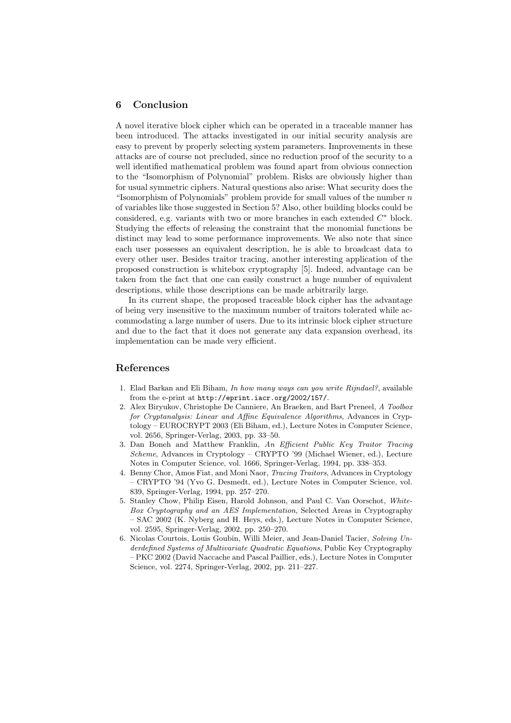### 6 Conclusion

A novel iterative block cipher which can be operated in a traceable manner has been introduced. The attacks investigated in our initial security analysis are easy to prevent by properly selecting system parameters. Improvements in these attacks are of course not precluded, since no reduction proof of the security to a well identified mathematical problem was found apart from obvious connection to the "Isomorphism of Polynomial" problem. Risks are obviously higher than for usual symmetric ciphers. Natural questions also arise: What security does the "Isomorphism of Polynomials" problem provide for small values of the number  $n$ of variables like those suggested in Section 5? Also, other building blocks could be considered, e.g. variants with two or more branches in each extended  $C^*$  block. Studying the effects of releasing the constraint that the monomial functions be distinct may lead to some performance improvements. We also note that since each user possesses an equivalent description, he is able to broadcast data to every other user. Besides traitor tracing, another interesting application of the proposed construction is whitebox cryptography [5]. Indeed, advantage can be taken from the fact that one can easily construct a huge number of equivalent descriptions, while those descriptions can be made arbitrarily large.

In its current shape, the proposed traceable block cipher has the advantage of being very insensitive to the maximum number of traitors tolerated while accommodating a large number of users. Due to its intrinsic block cipher structure and due to the fact that it does not generate any data expansion overhead, its implementation can be made very efficient.

### References

- 1. Elad Barkan and Eli Biham, In how many ways can you write Rijndael?, available from the e-print at http://eprint.iacr.org/2002/157/.
- 2. Alex Biryukov, Christophe De Canniere, An Braeken, and Bart Preneel, A Toolbox for Cryptanalysis: Linear and Affine Equivalence Algorithms, Advances in Cryptology – EUROCRYPT 2003 (Eli Biham, ed.), Lecture Notes in Computer Science, vol. 2656, Springer-Verlag, 2003, pp. 33–50.
- 3. Dan Boneh and Matthew Franklin, An Efficient Public Key Traitor Tracing Scheme, Advances in Cryptology – CRYPTO '99 (Michael Wiener, ed.), Lecture Notes in Computer Science, vol. 1666, Springer-Verlag, 1994, pp. 338–353.
- 4. Benny Chor, Amos Fiat, and Moni Naor, Tracing Traitors, Advances in Cryptology – CRYPTO '94 (Yvo G. Desmedt, ed.), Lecture Notes in Computer Science, vol. 839, Springer-Verlag, 1994, pp. 257–270.
- 5. Stanley Chow, Philip Eisen, Harold Johnson, and Paul C. Van Oorschot, White-Box Cryptography and an AES Implementation, Selected Areas in Cryptography – SAC 2002 (K. Nyberg and H. Heys, eds.), Lecture Notes in Computer Science, vol. 2595, Springer-Verlag, 2002, pp. 250–270.
- 6. Nicolas Courtois, Louis Goubin, Willi Meier, and Jean-Daniel Tacier, Solving Underdefined Systems of Multivariate Quadratic Equations, Public Key Cryptography – PKC 2002 (David Naccache and Pascal Paillier, eds.), Lecture Notes in Computer Science, vol. 2274, Springer-Verlag, 2002, pp. 211–227.